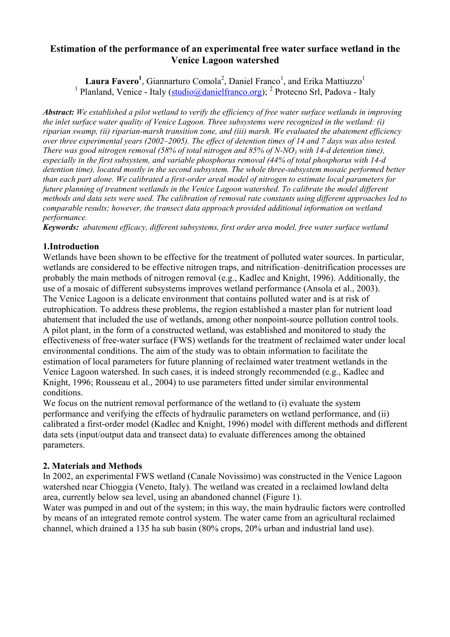# **Estimation of the performance of an experimental free water surface wetland in the Venice Lagoon watershed**

Laura Favero<sup>1</sup>, Giannarturo Comola<sup>2</sup>, Daniel Franco<sup>1</sup>, and Erika Mattiuzzo<sup>1</sup> <sup>1</sup> Planland, Venice - Italy (studio@danielfranco.org); <sup>2</sup> Protecno Srl, Padova - Italy

*Abstract: We established a pilot wetland to verify the efficiency of free water surface wetlands in improving the inlet surface water quality of Venice Lagoon. Three subsystems were recognized in the wetland: (i) riparian swamp, (ii) riparian-marsh transition zone, and (iii) marsh. We evaluated the abatement efficiency over three experimental years (2002–2005). The effect of detention times of 14 and 7 days was also tested. There was good nitrogen removal (58% of total nitrogen and 85% of N-NO<sub>3</sub> with 14-d detention time), especially in the first subsystem, and variable phosphorus removal (44% of total phosphorus with 14-d detention time), located mostly in the second subsystem. The whole three-subsystem mosaic performed better than each part alone. We calibrated a first-order areal model of nitrogen to estimate local parameters for future planning of treatment wetlands in the Venice Lagoon watershed. To calibrate the model different methods and data sets were used. The calibration of removal rate constants using different approaches led to comparable results; however, the transect data approach provided additional information on wetland performance.* 

*Keywords: abatement efficacy, different subsystems, first order area model, free water surface wetland* 

## **1.Introduction**

Wetlands have been shown to be effective for the treatment of polluted water sources. In particular, wetlands are considered to be effective nitrogen traps, and nitrification–denitrification processes are probably the main methods of nitrogen removal (e.g., Kadlec and Knight, 1996). Additionally, the use of a mosaic of different subsystems improves wetland performance (Ansola et al., 2003). The Venice Lagoon is a delicate environment that contains polluted water and is at risk of eutrophication. To address these problems, the region established a master plan for nutrient load abatement that included the use of wetlands, among other nonpoint-source pollution control tools. A pilot plant, in the form of a constructed wetland, was established and monitored to study the effectiveness of free-water surface (FWS) wetlands for the treatment of reclaimed water under local environmental conditions. The aim of the study was to obtain information to facilitate the estimation of local parameters for future planning of reclaimed water treatment wetlands in the Venice Lagoon watershed. In such cases, it is indeed strongly recommended (e.g., Kadlec and Knight, 1996; Rousseau et al., 2004) to use parameters fitted under similar environmental conditions.

We focus on the nutrient removal performance of the wetland to (i) evaluate the system performance and verifying the effects of hydraulic parameters on wetland performance, and (ii) calibrated a first-order model (Kadlec and Knight, 1996) model with different methods and different data sets (input/output data and transect data) to evaluate differences among the obtained parameters.

## **2. Materials and Methods**

In 2002, an experimental FWS wetland (Canale Novissimo) was constructed in the Venice Lagoon watershed near Chioggia (Veneto, Italy). The wetland was created in a reclaimed lowland delta area, currently below sea level, using an abandoned channel (Figure 1).

Water was pumped in and out of the system; in this way, the main hydraulic factors were controlled by means of an integrated remote control system. The water came from an agricultural reclaimed channel, which drained a 135 ha sub basin (80% crops, 20% urban and industrial land use).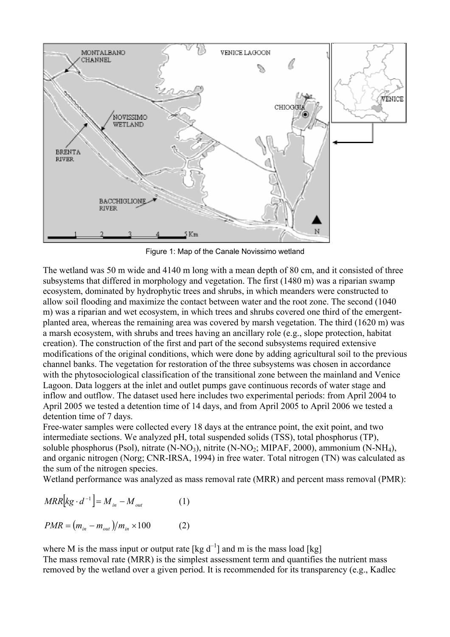

Figure 1: Map of the Canale Novissimo wetland

The wetland was 50 m wide and 4140 m long with a mean depth of 80 cm, and it consisted of three subsystems that differed in morphology and vegetation. The first (1480 m) was a riparian swamp ecosystem, dominated by hydrophytic trees and shrubs, in which meanders were constructed to allow soil flooding and maximize the contact between water and the root zone. The second (1040 m) was a riparian and wet ecosystem, in which trees and shrubs covered one third of the emergentplanted area, whereas the remaining area was covered by marsh vegetation. The third (1620 m) was a marsh ecosystem, with shrubs and trees having an ancillary role (e.g., slope protection, habitat creation). The construction of the first and part of the second subsystems required extensive modifications of the original conditions, which were done by adding agricultural soil to the previous channel banks. The vegetation for restoration of the three subsystems was chosen in accordance with the phytosociological classification of the transitional zone between the mainland and Venice Lagoon. Data loggers at the inlet and outlet pumps gave continuous records of water stage and inflow and outflow. The dataset used here includes two experimental periods: from April 2004 to April 2005 we tested a detention time of 14 days, and from April 2005 to April 2006 we tested a detention time of 7 days.

Free-water samples were collected every 18 days at the entrance point, the exit point, and two intermediate sections. We analyzed pH, total suspended solids (TSS), total phosphorus (TP), soluble phosphorus (Psol), nitrate (N-NO<sub>3</sub>), nitrite (N-NO<sub>2</sub>; MIPAF, 2000), ammonium (N-NH<sub>4</sub>), and organic nitrogen (Norg; CNR-IRSA, 1994) in free water. Total nitrogen (TN) was calculated as the sum of the nitrogen species.

Wetland performance was analyzed as mass removal rate (MRR) and percent mass removal (PMR):

$$
MRR\big[kg \cdot d^{-1}\big] = M_{in} - M_{out} \tag{1}
$$

 $PMR = (m_{in} - m_{out})/m_{in} \times 100$  (2)

where M is the mass input or output rate  $[\text{kg } d^{-1}]$  and m is the mass load  $[\text{kg}]$ The mass removal rate (MRR) is the simplest assessment term and quantifies the nutrient mass removed by the wetland over a given period. It is recommended for its transparency (e.g., Kadlec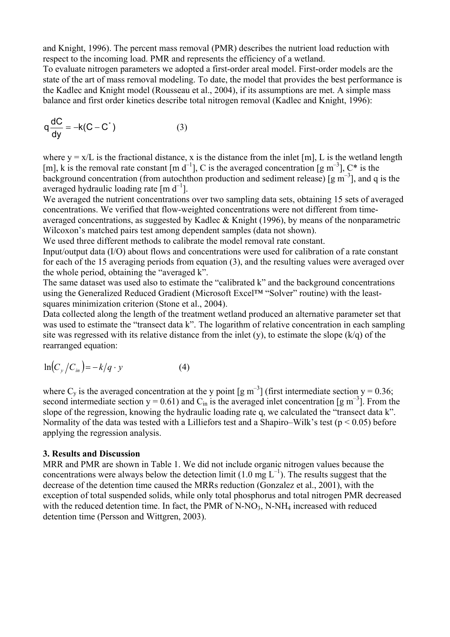and Knight, 1996). The percent mass removal (PMR) describes the nutrient load reduction with respect to the incoming load. PMR and represents the efficiency of a wetland.

To evaluate nitrogen parameters we adopted a first-order areal model. First-order models are the state of the art of mass removal modeling. To date, the model that provides the best performance is the Kadlec and Knight model (Rousseau et al., 2004), if its assumptions are met. A simple mass balance and first order kinetics describe total nitrogen removal (Kadlec and Knight, 1996):

$$
q\frac{dC}{dy} = -k(C - C^*)
$$
 (3)

where  $y = x/L$  is the fractional distance, x is the distance from the inlet [m], L is the wetland length [m], k is the removal rate constant  $[m d^{-1}]$ , C is the averaged concentration  $[g m^{-3}]$ , C\* is the background concentration (from autochthon production and sediment release) [g  $m^{-3}$ ], and q is the averaged hydraulic loading rate  $\lceil m \, d^{-1} \rceil$ .

We averaged the nutrient concentrations over two sampling data sets, obtaining 15 sets of averaged concentrations. We verified that flow-weighted concentrations were not different from timeaveraged concentrations, as suggested by Kadlec & Knight (1996), by means of the nonparametric Wilcoxon's matched pairs test among dependent samples (data not shown).

We used three different methods to calibrate the model removal rate constant.

Input/output data (I/O) about flows and concentrations were used for calibration of a rate constant for each of the 15 averaging periods from equation (3), and the resulting values were averaged over the whole period, obtaining the "averaged k".

The same dataset was used also to estimate the "calibrated k" and the background concentrations using the Generalized Reduced Gradient (Microsoft Excel™ "Solver" routine) with the leastsquares minimization criterion (Stone et al., 2004).

Data collected along the length of the treatment wetland produced an alternative parameter set that was used to estimate the "transect data k". The logarithm of relative concentration in each sampling site was regressed with its relative distance from the inlet  $(y)$ , to estimate the slope  $(k/q)$  of the rearranged equation:

$$
\ln\left(C_y/C_{in}\right) = -k/q \cdot y \tag{4}
$$

where C<sub>y</sub> is the averaged concentration at the y point  $[g \, m^{-3}]$  (first intermediate section y = 0.36; second intermediate section  $y = 0.61$ ) and C<sub>in</sub> is the averaged inlet concentration [g m<sup>-3</sup>]. From the slope of the regression, knowing the hydraulic loading rate q, we calculated the "transect data k". Normality of the data was tested with a Lilliefors test and a Shapiro–Wilk's test ( $p < 0.05$ ) before applying the regression analysis.

### **3. Results and Discussion**

MRR and PMR are shown in Table 1. We did not include organic nitrogen values because the concentrations were always below the detection limit (1.0 mg  $L^{-1}$ ). The results suggest that the decrease of the detention time caused the MRRs reduction (Gonzalez et al., 2001), with the exception of total suspended solids, while only total phosphorus and total nitrogen PMR decreased with the reduced detention time. In fact, the PMR of  $N-NO_3$ ,  $N-NH_4$  increased with reduced detention time (Persson and Wittgren, 2003).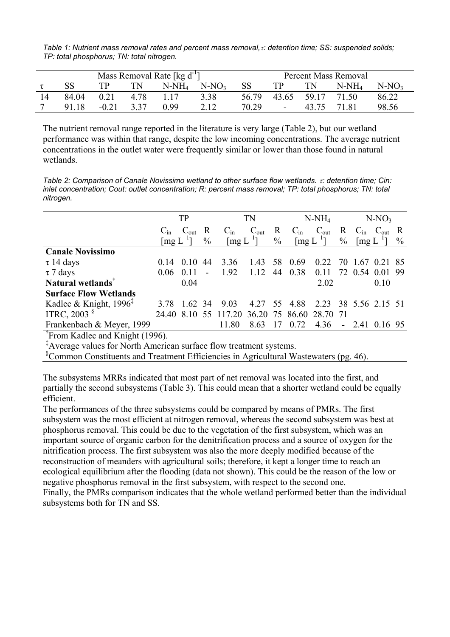*Table 1: Nutrient mass removal rates and percent mass removal,*τ*: detention time; SS: suspended solids; TP: total phosphorus; TN: total nitrogen.* 

| Mass Removal Rate [kg $d^{-1}$ ] |         |      |          |         |           | Percent Mass Removal |       |          |         |  |  |
|----------------------------------|---------|------|----------|---------|-----------|----------------------|-------|----------|---------|--|--|
|                                  |         | TN   | $N-NH_4$ | $N-NO3$ | <b>SS</b> | TР                   | ΓN    | $N-NH_4$ | $N-NO3$ |  |  |
| 84.04                            | 0.21    | 4.78 |          | 3.38    | 56.79     | 43.65                | 59 17 | 71.50    | 86.22   |  |  |
| 91 18                            | $-0.21$ | 3.37 | O 99     | 2.12    | 70.29     | $\sim$               | 43.75 | 71.81    | 98.56   |  |  |

The nutrient removal range reported in the literature is very large (Table 2), but our wetland performance was within that range, despite the low incoming concentrations. The average nutrient concentrations in the outlet water were frequently similar or lower than those found in natural wetlands.

*Table 2: Comparison of Canale Novissimo wetland to other surface flow wetlands.* τ*: detention time; Cin: inlet concentration; Cout: outlet concentration; R: percent mass removal; TP: total phosphorus; TN: total nitrogen.* 

|                                    | TP                               |                  |      | TN                                      |                  |               | $N-NH_4$       |                                  | $N-NO3$       |              |                      |               |
|------------------------------------|----------------------------------|------------------|------|-----------------------------------------|------------------|---------------|----------------|----------------------------------|---------------|--------------|----------------------|---------------|
|                                    | $C_{in}$                         | $C_{\text{out}}$ | R    | $C_{in}$                                | $C_{\text{out}}$ | $\mathbf R$   | $C_{in}$       | $C_{\text{out}}$                 | R             |              | $C_{in}$ $C_{out}$   | R             |
|                                    | $\left[\text{mg } L^{-1}\right]$ |                  | $\%$ | $\lfloor \underline{mg} L^{-1} \rfloor$ |                  | $\frac{0}{0}$ |                | $\left[\text{mg } L^{-1}\right]$ | $\frac{0}{0}$ |              | $\text{Im} g L^{-1}$ | $\frac{0}{0}$ |
| <b>Canale Novissimo</b>            |                                  |                  |      |                                         |                  |               |                |                                  |               |              |                      |               |
| $\tau$ 14 days                     | $(1)$ 14                         | 010              | 44   | 3.36                                    | 1.43             | 58            | 0.69           | 0.22                             | 70            | 1.67         | 021                  |               |
| $\tau$ 7 days                      | 0.06                             |                  |      | 1.92                                    | 1.12             | 44            | 0.38           | 0.11                             |               | 72 0.54 0.01 |                      | -99           |
| Natural wetlands <sup>†</sup>      |                                  | 0.04             |      |                                         |                  |               |                | 2.02                             |               |              | 0.10                 |               |
| <b>Surface Flow Wetlands</b>       |                                  |                  |      |                                         |                  |               |                |                                  |               |              |                      |               |
| Kadlec & Knight, $1996^{\ddagger}$ | 3.78                             | 162 34           |      | 903                                     | 4.27             | 55            | 4.88           | 2.23 38 5.56 2.15 51             |               |              |                      |               |
| ITRC, 2003 $\frac{8}{3}$           | 24.40                            | 8.10             |      | 117.20                                  |                  |               | 36.20 75 86.60 | 28.70                            | -71           |              |                      |               |
| Frankenbach & Meyer, 1999          |                                  |                  |      | 11.80                                   | 8.63             | 17            | 0.72           | 4.36                             |               | $-2.41$      | 0.16 95              |               |

**†** From Kadlec and Knight (1996).

‡ Average values for North American surface flow treatment systems.

§ Common Constituents and Treatment Efficiencies in Agricultural Wastewaters (pg. 46).

The subsystems MRRs indicated that most part of net removal was located into the first, and partially the second subsystems (Table 3). This could mean that a shorter wetland could be equally efficient.

The performances of the three subsystems could be compared by means of PMRs. The first subsystem was the most efficient at nitrogen removal, whereas the second subsystem was best at phosphorus removal. This could be due to the vegetation of the first subsystem, which was an important source of organic carbon for the denitrification process and a source of oxygen for the nitrification process. The first subsystem was also the more deeply modified because of the reconstruction of meanders with agricultural soils; therefore, it kept a longer time to reach an ecological equilibrium after the flooding (data not shown). This could be the reason of the low or negative phosphorus removal in the first subsystem, with respect to the second one. Finally, the PMRs comparison indicates that the whole wetland performed better than the individual subsystems both for TN and SS.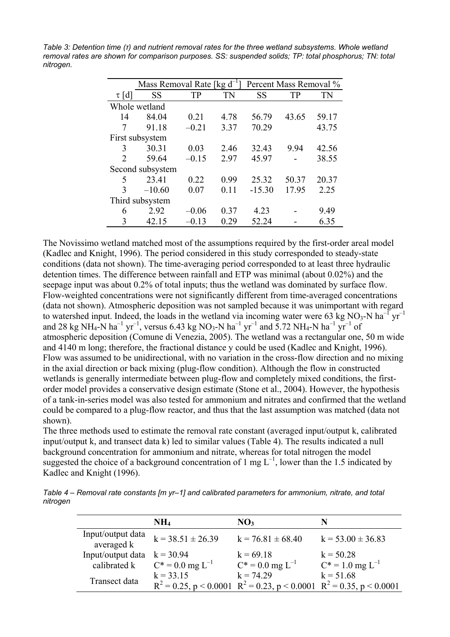*Table 3: Detention time (τ) and nutrient removal rates for the three wetland subsystems. Whole wetland removal rates are shown for comparison purposes. SS: suspended solids; TP: total phosphorus; TN: total nitrogen.* 

|                             | Mass Removal Rate [kg $d^{-1}$ ] |         | Percent Mass Removal % |          |       |       |  |
|-----------------------------|----------------------------------|---------|------------------------|----------|-------|-------|--|
| $\tau$ [d]                  | <b>SS</b>                        | TP      | <b>TN</b>              | SS       | TP    | TN    |  |
|                             | Whole wetland                    |         |                        |          |       |       |  |
| 14                          | 84.04                            | 0.21    | 4.78                   | 56.79    | 43.65 | 59.17 |  |
| 7                           | 91.18                            | $-0.21$ | 3.37                   | 70.29    |       | 43.75 |  |
|                             | First subsystem                  |         |                        |          |       |       |  |
| 3                           | 30.31                            | 0.03    | 2.46                   | 32.43    | 9.94  | 42.56 |  |
| $\mathcal{D}_{\mathcal{L}}$ | 59.64                            | $-0.15$ | 2.97                   | 45.97    |       | 38.55 |  |
|                             | Second subsystem                 |         |                        |          |       |       |  |
| 5.                          | 23.41                            | 0.22    | 0.99                   | 25.32    | 50.37 | 20.37 |  |
| $\mathbf{3}$                | $-10.60$                         | 0.07    | 0.11                   | $-15.30$ | 17.95 | 2.25  |  |
|                             | Third subsystem                  |         |                        |          |       |       |  |
| 6                           | 2.92                             | $-0.06$ | 0.37                   | 4.23     |       | 9.49  |  |
| 3                           | 42.15                            | $-0.13$ | 0.29                   | 52.24    |       | 6.35  |  |

The Novissimo wetland matched most of the assumptions required by the first-order areal model (Kadlec and Knight, 1996). The period considered in this study corresponded to steady-state conditions (data not shown). The time-averaging period corresponded to at least three hydraulic detention times. The difference between rainfall and ETP was minimal (about 0.02%) and the seepage input was about 0.2% of total inputs; thus the wetland was dominated by surface flow. Flow-weighted concentrations were not significantly different from time-averaged concentrations (data not shown). Atmospheric deposition was not sampled because it was unimportant with regard to watershed input. Indeed, the loads in the wetland via incoming water were 63 kg NO<sub>3</sub>-N ha<sup>-1</sup> yr<sup>-1</sup> and 28 kg NH<sub>4</sub>-N ha<sup>-1</sup> yr<sup>-1</sup>, versus 6.43 kg NO<sub>3</sub>-N ha<sup>-1</sup> yr<sup>-1</sup> and 5.72 NH<sub>4</sub>-N ha<sup>-1</sup> yr<sup>-1</sup> of atmospheric deposition (Comune di Venezia, 2005). The wetland was a rectangular one, 50 m wide and 4140 m long; therefore, the fractional distance y could be used (Kadlec and Knight, 1996). Flow was assumed to be unidirectional, with no variation in the cross-flow direction and no mixing in the axial direction or back mixing (plug-flow condition). Although the flow in constructed wetlands is generally intermediate between plug-flow and completely mixed conditions, the firstorder model provides a conservative design estimate (Stone et al., 2004). However, the hypothesis of a tank-in-series model was also tested for ammonium and nitrates and confirmed that the wetland could be compared to a plug-flow reactor, and thus that the last assumption was matched (data not shown).

The three methods used to estimate the removal rate constant (averaged input/output k, calibrated input/output k, and transect data k) led to similar values (Table 4). The results indicated a null background concentration for ammonium and nitrate, whereas for total nitrogen the model suggested the choice of a background concentration of 1 mg  $L^{-1}$ , lower than the 1.5 indicated by Kadlec and Knight (1996).

*Table 4 – Removal rate constants [m yr–1] and calibrated parameters for ammonium, nitrate, and total nitrogen* 

|                                 | NH <sub>4</sub>         | NO <sub>3</sub>                                                               |                         |
|---------------------------------|-------------------------|-------------------------------------------------------------------------------|-------------------------|
| Input/output data<br>averaged k | $k = 38.51 \pm 26.39$   | $k = 76.81 \pm 68.40$                                                         | $k = 53.00 \pm 36.83$   |
| Input/output data               | $k = 30.94$             | $k = 69.18$                                                                   | $k = 50.28$             |
| calibrated k                    | $C^* = 0.0$ mg $L^{-1}$ | $C^* = 0.0$ mg $L^{-1}$                                                       | $C^* = 1.0$ mg $L^{-1}$ |
| Transect data                   | $k = 33.15$             | $k = 74.29$                                                                   | $k = 51.68$             |
|                                 |                         | $R^2 = 0.25$ , p < 0.0001 $R^2 = 0.23$ , p < 0.0001 $R^2 = 0.35$ , p < 0.0001 |                         |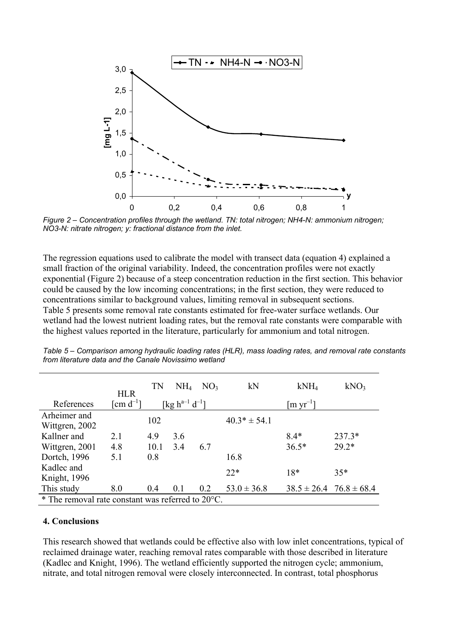

*Figure 2 – Concentration profiles through the wetland. TN: total nitrogen; NH4-N: ammonium nitrogen; NO3-N: nitrate nitrogen; y: fractional distance from the inlet.* 

The regression equations used to calibrate the model with transect data (equation 4) explained a small fraction of the original variability. Indeed, the concentration profiles were not exactly exponential (Figure 2) because of a steep concentration reduction in the first section. This behavior could be caused by the low incoming concentrations; in the first section, they were reduced to concentrations similar to background values, limiting removal in subsequent sections. Table 5 presents some removal rate constants estimated for free-water surface wetlands. Our wetland had the lowest nutrient loading rates, but the removal rate constants were comparable with the highest values reported in the literature, particularly for ammonium and total nitrogen.

|                                                    | <b>HLR</b>     | TN   | NH <sub>4</sub>                 | NO <sub>3</sub> | kN               | kNH <sub>4</sub>                | kNO <sub>3</sub> |  |
|----------------------------------------------------|----------------|------|---------------------------------|-----------------|------------------|---------------------------------|------------------|--|
| References                                         | [cm $d^{-1}$ ] |      | [kg $h^{a-1}$ d <sup>-1</sup> ] |                 |                  | $\left[\text{m yr}^{-1}\right]$ |                  |  |
| Arheimer and<br>Wittgren, 2002                     |                | 102  |                                 |                 | $40.3* \pm 54.1$ |                                 |                  |  |
| Kallner and                                        | 2.1            | 4.9  | 3.6                             |                 |                  | $8.4*$                          | $237.3*$         |  |
| Wittgren, 2001                                     | 4.8            | 10.1 | 3.4                             | 6.7             |                  | $36.5*$                         | $29.2*$          |  |
| Dortch, 1996                                       | 5.1            | 0.8  |                                 |                 | 16.8             |                                 |                  |  |
| Kadlec and                                         |                |      |                                 |                 | $22*$            | $18*$                           | $35*$            |  |
| Knight, 1996                                       |                |      |                                 |                 |                  |                                 |                  |  |
| This study                                         | 8.0            | 0.4  | 0.1                             | 0.2             | $53.0 \pm 36.8$  | $38.5 \pm 26.4$ $76.8 \pm 68.4$ |                  |  |
| * The removal rate constant was referred to 20 °C. |                |      |                                 |                 |                  |                                 |                  |  |

*Table 5 – Comparison among hydraulic loading rates (HLR), mass loading rates, and removal rate constants from literature data and the Canale Novissimo wetland* 

#### **4. Conclusions**

This research showed that wetlands could be effective also with low inlet concentrations, typical of reclaimed drainage water, reaching removal rates comparable with those described in literature (Kadlec and Knight, 1996). The wetland efficiently supported the nitrogen cycle; ammonium, nitrate, and total nitrogen removal were closely interconnected. In contrast, total phosphorus